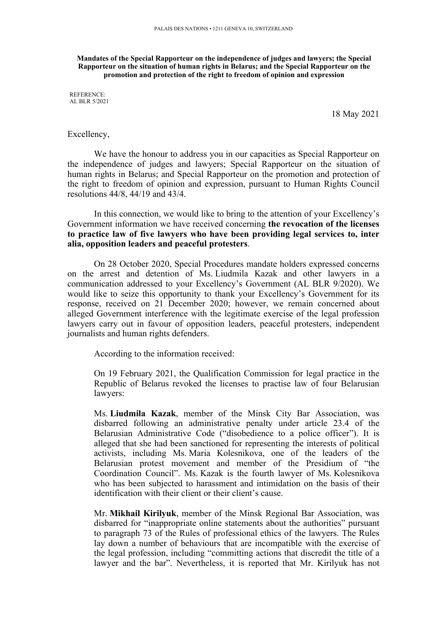**Mandates of the Special Rapporteur on the independence of judges and lawyers; the Special Rapporteur on the situation of human rights in Belarus; and the Special Rapporteur on the promotion and protection of the right to freedom of opinion and expression**

REFERENCE: AL BLR 5/2021

18 May 2021

## Excellency,

We have the honour to address you in our capacities as Special Rapporteur on the independence of judges and lawyers; Special Rapporteur on the situation of human rights in Belarus; and Special Rapporteur on the promotion and protection of the right to freedom of opinion and expression, pursuan<sup>t</sup> to Human Rights Council resolutions 44/8, 44/19 and 43/4.

In this connection, we would like to bring to the attention of your Excellency'<sup>s</sup> Government information we have received concerning **the revocation of the licenses to practice law of five lawyers who have been providing legal services to, inter alia, opposition leaders and peaceful protesters**.

On 28 October 2020, Special Procedures mandate holders expressed concerns on the arrest and detention of Ms. Liudmila Kazak and other lawyers in <sup>a</sup> communication addressed to your Excellency'<sup>s</sup> Government (AL BLR 9/2020). We would like to seize this opportunity to thank your Excellency'<sup>s</sup> Government for its response, received on 21 December 2020; however, we remain concerned about alleged Government interference with the legitimate exercise of the legal profession lawyers carry out in favour of opposition leaders, peaceful protesters, independent journalists and human rights defenders.

According to the information received:

On 19 February 2021, the Qualification Commission for legal practice in the Republic of Belarus revoked the licenses to practise law of four Belarusian lawyers:

Ms. **Liudmila Kazak**, member of the Minsk City Bar Association, was disbarred following an administrative penalty under article 23.4 of the Belarusian Administrative Code ("disobedience to <sup>a</sup> police officer"). It is alleged that she had been sanctioned for representing the interests of political activists, including Ms. Maria Kolesnikova, one of the leaders of the Belarusian protest movement and member of the Presidium of "the Coordination Council". Ms. Kazak is the fourth lawyer of Ms. Kolesnikova who has been subjected to harassment and intimidation on the basis of their identification with their client or their client'<sup>s</sup> cause.

Mr. **Mikhail Kirilyuk**, member of the Minsk Regional Bar Association, was disbarred for "inappropriate online statements about the authorities" pursuan<sup>t</sup> to paragraph 73 of the Rules of professional ethics of the lawyers. The Rules lay down <sup>a</sup> number of behaviours that are incompatible with the exercise of the legal profession, including "committing actions that discredit the title of <sup>a</sup> lawyer and the bar". Nevertheless, it is reported that Mr. Kirilyuk has not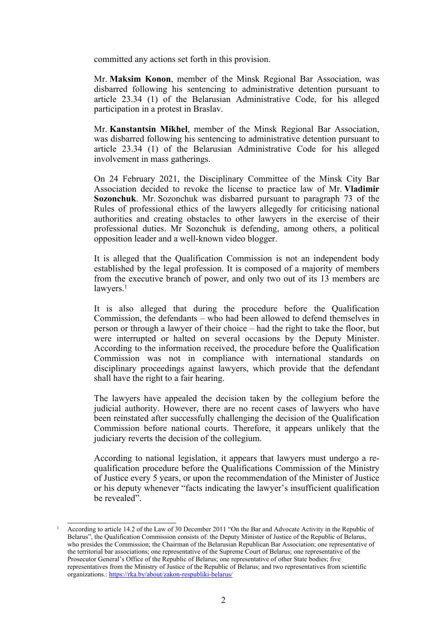committed any actions set forth in this provision.

Mr. **Maksim Konon**, member of the Minsk Regional Bar Association, was disbarred following his sentencing to administrative detention pursuan<sup>t</sup> to article 23.34 (1) of the Belarusian Administrative Code, for his alleged participation in <sup>a</sup> protest in Braslav.

Mr. **Kanstantsin Mikhel**, member of the Minsk Regional Bar Association, was disbarred following his sentencing to administrative detention pursuan<sup>t</sup> to article 23.34 (1) of the Belarusian Administrative Code for his alleged involvement in mass gatherings.

On 24 February 2021, the Disciplinary Committee of the Minsk City Bar Association decided to revoke the license to practice law of Mr. **Vladimir Sozonchuk**. Mr. Sozonchuk was disbarred pursuan<sup>t</sup> to paragraph 73 of the Rules of professional ethics of the lawyers allegedly for criticising national authorities and creating obstacles to other lawyers in the exercise of their professional duties. Mr Sozonchuk is defending, among others, <sup>a</sup> political opposition leader and <sup>a</sup> well-known video blogger.

It is alleged that the Qualification Commission is not an independent body established by the legal profession. It is composed of <sup>a</sup> majority of members from the executive branch of power, and only two out of its 13 members are lawyers. 1

It is also alleged that during the procedure before the Qualification Commission, the defendants – who had been allowed to defend themselves in person or through <sup>a</sup> lawyer of their choice – had the right to take the floor, but were interrupted or halted on several occasions by the Deputy Minister. According to the information received, the procedure before the Qualification Commission was not in compliance with international standards on disciplinary proceedings against lawyers, which provide that the defendant shall have the right to <sup>a</sup> fair hearing.

The lawyers have appealed the decision taken by the collegium before the judicial authority. However, there are no recent cases of lawyers who have been reinstated after successfully challenging the decision of the Qualification Commission before national courts. Therefore, it appears unlikely that the judiciary reverts the decision of the collegium.

According to national legislation, it appears that lawyers must undergo <sup>a</sup> requalification procedure before the Qualifications Commission of the Ministry of Justice every 5 years, or upon the recommendation of the Minister of Justice or his deputy whenever "facts indicating the lawyer'<sup>s</sup> insufficient qualification be revealed".

<sup>&</sup>lt;sup>1</sup> According to article 14.2 of the Law of 30 December 2011 "On the Bar and Advocate Activity in the Republic of Belarus", the Qualification Commission consists of: the Deputy Minister of Justice of the Republic of Belarus, who presides the Commission; the Chairman of the Belarusian Republican Bar Association; one representative of the territorial bar associations; one representative of the Supreme Court of Belarus; one representative of the Prosecutor General'<sup>s</sup> Office of the Republic of Belarus; one representative of other State bodies; five representatives from the Ministry of Justice of the Republic of Belarus; and two representatives from scientific organizations.: <https://rka.by/about/zakon-respubliki-belarus/>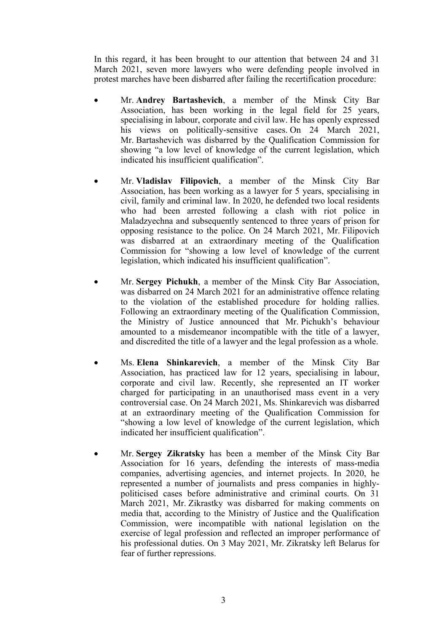In this regard, it has been brought to our attention that between 24 and 31 March 2021, seven more lawyers who were defending people involved in protest marches have been disbarred after failing the recertification procedure:

- 6 Mr. **Andrey Bartashevich**, <sup>a</sup> member of the Minsk City Bar Association, has been working in the legal field for 25 years, specialising in labour, corporate and civil law. He has openly expressed his views on politically-sensitive cases. On 24 March 2021, Mr. Bartashevich was disbarred by the Qualification Commission for showing "<sup>a</sup> low level of knowledge of the current legislation, which indicated his insufficient qualification".
- 6 Mr. **Vladislav Filipovich**, <sup>a</sup> member of the Minsk City Bar Association, has been working as <sup>a</sup> lawyer for 5 years, specialising in civil, family and criminal law. In 2020, he defended two local residents who had been arrested following <sup>a</sup> clash with riot police in Maladzyechna and subsequently sentenced to three years of prison for opposing resistance to the police. On 24 March 2021, Mr. Filipovich was disbarred at an extraordinary meeting of the Qualification Commission for "showing <sup>a</sup> low level of knowledge of the current legislation, which indicated his insufficient qualification".
- c Mr. **Sergey Pichukh**, <sup>a</sup> member of the Minsk City Bar Association, was disbarred on 24 March 2021 for an administrative offence relating to the violation of the established procedure for holding rallies. Following an extraordinary meeting of the Qualification Commission, the Ministry of Justice announced that Mr. Pichukh'<sup>s</sup> behaviour amounted to <sup>a</sup> misdemeanor incompatible with the title of <sup>a</sup> lawyer, and discredited the title of <sup>a</sup> lawyer and the legal profession as <sup>a</sup> whole.
- e Ms. **Elena Shinkarevich**, <sup>a</sup> member of the Minsk City Bar Association, has practiced law for 12 years, specialising in labour, corporate and civil law. Recently, she represented an IT worker charged for participating in an unauthorised mass event in <sup>a</sup> very controversial case. On 24 March 2021, Ms. Shinkarevich was disbarred at an extraordinary meeting of the Qualification Commission for "showing <sup>a</sup> low level of knowledge of the current legislation, which indicated her insufficient qualification".
- e Mr. **Sergey Zikratsky** has been <sup>a</sup> member of the Minsk City Bar Association for 16 years, defending the interests of mass-media companies, advertising agencies, and internet projects. In 2020, he represented <sup>a</sup> number of journalists and press companies in highlypoliticised cases before administrative and criminal courts. On 31 March 2021, Mr. Zikrastky was disbarred for making comments on media that, according to the Ministry of Justice and the Qualification Commission, were incompatible with national legislation on the exercise of legal profession and reflected an improper performance of his professional duties. On 3 May 2021, Mr. Zikratsky left Belarus for fear of further repressions.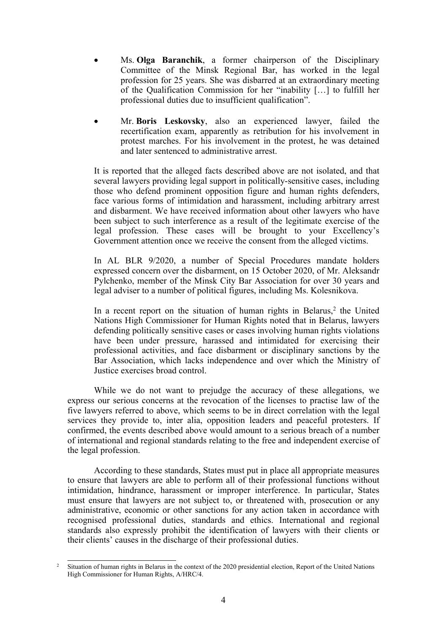- 6 Ms. **Olga Baranchik**, <sup>a</sup> former chairperson of the Disciplinary Committee of the Minsk Regional Bar, has worked in the legal profession for 25 years. She was disbarred at an extraordinary meeting of the Qualification Commission for her "inability […] to fulfill her professional duties due to insufficient qualification".
- e Mr. **Boris Leskovsky**, also an experienced lawyer, failed the recertification exam, apparently as retribution for his involvement in protest marches. For his involvement in the protest, he was detained and later sentenced to administrative arrest.

It is reported that the alleged facts described above are not isolated, and that several lawyers providing legal suppor<sup>t</sup> in politically-sensitive cases, including those who defend prominent opposition figure and human rights defenders, face various forms of intimidation and harassment, including arbitrary arrest and disbarment. We have received information about other lawyers who have been subject to such interference as <sup>a</sup> result of the legitimate exercise of the legal profession. These cases will be brought to your Excellency'<sup>s</sup> Government attention once we receive the consent from the alleged victims.

In AL BLR 9/2020, <sup>a</sup> number of Special Procedures mandate holders expressed concern over the disbarment, on 15 October 2020, of Mr. Aleksandr Pylchenko, member of the Minsk City Bar Association for over 30 years and legal adviser to <sup>a</sup> number of political figures, including Ms. Kolesnikova.

In a recent report on the situation of human rights in Belarus,<sup>2</sup> the United Nations High Commissioner for Human Rights noted that in Belarus, lawyers defending politically sensitive cases or cases involving human rights violations have been under pressure, harassed and intimidated for exercising their professional activities, and face disbarment or disciplinary sanctions by the Bar Association, which lacks independence and over which the Ministry of Justice exercises broad control.

While we do not want to prejudge the accuracy of these allegations, we express our serious concerns at the revocation of the licenses to practise law of the five lawyers referred to above, which seems to be in direct correlation with the legal services they provide to, inter alia, opposition leaders and peaceful protesters. If confirmed, the events described above would amount to <sup>a</sup> serious breach of <sup>a</sup> number of international and regional standards relating to the free and independent exercise of the legal profession.

According to these standards, States must pu<sup>t</sup> in place all appropriate measures to ensure that lawyers are able to perform all of their professional functions without intimidation, hindrance, harassment or improper interference. In particular, States must ensure that lawyers are not subject to, or threatened with, prosecution or any administrative, economic or other sanctions for any action taken in accordance with recognised professional duties, standards and ethics. International and regional standards also expressly prohibit the identification of lawyers with their clients or their clients' causes in the discharge of their professional duties.

 $\overline{2}$ Situation of human rights in Belarus in the context of the 2020 presidential election, Report of the United Nations High Commissioner for Human Rights, A/HRC/4.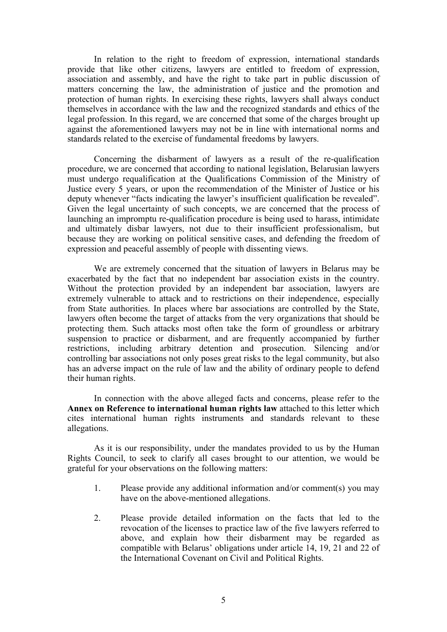In relation to the right to freedom of expression, international standards provide that like other citizens, lawyers are entitled to freedom of expression, association and assembly, and have the right to take par<sup>t</sup> in public discussion of matters concerning the law, the administration of justice and the promotion and protection of human rights. In exercising these rights, lawyers shall always conduct themselves in accordance with the law and the recognized standards and ethics of the legal profession. In this regard, we are concerned that some of the charges brought up against the aforementioned lawyers may not be in line with international norms and standards related to the exercise of fundamental freedoms by lawyers.

Concerning the disbarment of lawyers as <sup>a</sup> result of the re-qualification procedure, we are concerned that according to national legislation, Belarusian lawyers must undergo requalification at the Qualifications Commission of the Ministry of Justice every 5 years, or upon the recommendation of the Minister of Justice or his deputy whenever "facts indicating the lawyer'<sup>s</sup> insufficient qualification be revealed". Given the legal uncertainty of such concepts, we are concerned that the process of launching an impromptu re-qualification procedure is being used to harass, intimidate and ultimately disbar lawyers, not due to their insufficient professionalism, but because they are working on political sensitive cases, and defending the freedom of expression and peaceful assembly of people with dissenting views.

We are extremely concerned that the situation of lawyers in Belarus may be exacerbated by the fact that no independent bar association exists in the country. Without the protection provided by an independent bar association, lawyers are extremely vulnerable to attack and to restrictions on their independence, especially from State authorities. In places where bar associations are controlled by the State, lawyers often become the target of attacks from the very organizations that should be protecting them. Such attacks most often take the form of groundless or arbitrary suspension to practice or disbarment, and are frequently accompanied by further restrictions, including arbitrary detention and prosecution. Silencing and/or controlling bar associations not only poses grea<sup>t</sup> risks to the legal community, but also has an adverse impact on the rule of law and the ability of ordinary people to defend their human rights.

In connection with the above alleged facts and concerns, please refer to the **Annex on Reference to international human rights law** attached to this letter which cites international human rights instruments and standards relevant to these allegations.

As it is our responsibility, under the mandates provided to us by the Human Rights Council, to seek to clarify all cases brought to our attention, we would be grateful for your observations on the following matters:

- 1. Please provide any additional information and/or comment(s) you may have on the above-mentioned allegations.
- 2. Please provide detailed information on the facts that led to the revocation of the licenses to practice law of the five lawyers referred to above, and explain how their disbarment may be regarded as compatible with Belarus' obligations under article 14, 19, 21 and 22 of the International Covenant on Civil and Political Rights.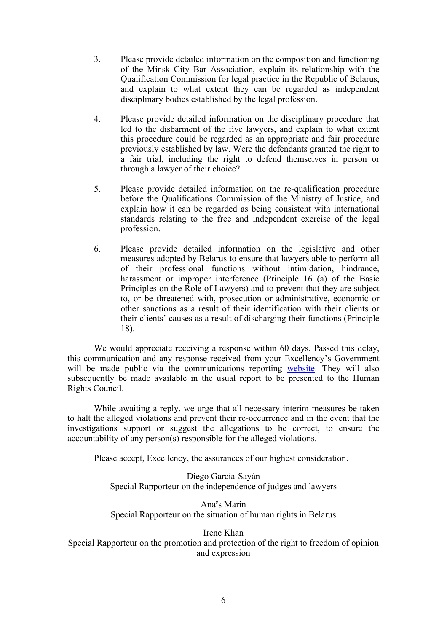- 3. Please provide detailed information on the composition and functioning of the Minsk City Bar Association, explain its relationship with the Qualification Commission for legal practice in the Republic of Belarus, and explain to what extent they can be regarded as independent disciplinary bodies established by the legal profession.
- 4. Please provide detailed information on the disciplinary procedure that led to the disbarment of the five lawyers, and explain to what extent this procedure could be regarded as an appropriate and fair procedure previously established by law. Were the defendants granted the right to <sup>a</sup> fair trial, including the right to defend themselves in person or through <sup>a</sup> lawyer of their choice?
- 5. Please provide detailed information on the re-qualification procedure before the Qualifications Commission of the Ministry of Justice, and explain how it can be regarded as being consistent with international standards relating to the free and independent exercise of the legal profession.
- 6. Please provide detailed information on the legislative and other measures adopted by Belarus to ensure that lawyers able to perform all of their professional functions without intimidation, hindrance, harassment or improper interference (Principle 16 (a) of the Basic Principles on the Role of Lawyers) and to preven<sup>t</sup> that they are subject to, or be threatened with, prosecution or administrative, economic or other sanctions as <sup>a</sup> result of their identification with their clients or their clients' causes as <sup>a</sup> result of discharging their functions (Principle 18).

We would appreciate receiving <sup>a</sup> response within 60 days. Passed this delay, this communication and any response received from your Excellency'<sup>s</sup> Government will be made public via the communications reporting [website](https://spcommreports.ohchr.org/). They will also subsequently be made available in the usual repor<sup>t</sup> to be presented to the Human Rights Council.

While awaiting <sup>a</sup> reply, we urge that all necessary interim measures be taken to halt the alleged violations and preven<sup>t</sup> their re-occurrence and in the event that the investigations suppor<sup>t</sup> or sugges<sup>t</sup> the allegations to be correct, to ensure the accountability of any person(s) responsible for the alleged violations.

Please accept, Excellency, the assurances of our highest consideration.

Diego García-Sayán Special Rapporteur on the independence of judges and lawyers

Anaïs Marin Special Rapporteur on the situation of human rights in Belarus

## Irene Khan

Special Rapporteur on the promotion and protection of the right to freedom of opinion and expression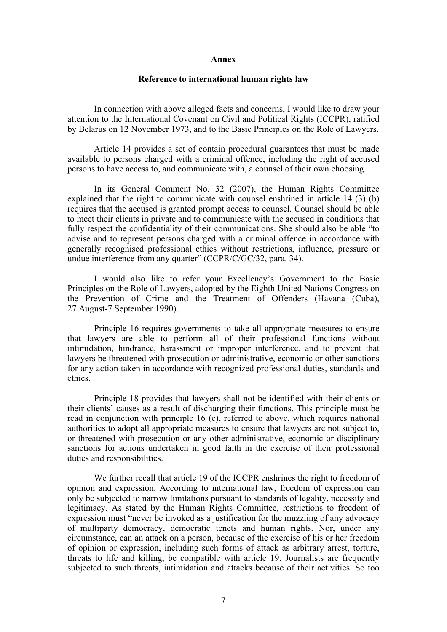## **Annex**

## **Reference to international human rights law**

In connection with above alleged facts and concerns, I would like to draw your attention to the International Covenant on Civil and Political Rights (ICCPR), ratified by Belarus on 12 November 1973, and to the Basic Principles on the Role of Lawyers.

Article 14 provides <sup>a</sup> set of contain procedural guarantees that must be made available to persons charged with <sup>a</sup> criminal offence, including the right of accused persons to have access to, and communicate with, <sup>a</sup> counsel of their own choosing.

In its General Comment No. 32 (2007), the Human Rights Committee explained that the right to communicate with counsel enshrined in article 14 (3) (b) requires that the accused is granted promp<sup>t</sup> access to counsel. Counsel should be able to meet their clients in private and to communicate with the accused in conditions that fully respec<sup>t</sup> the confidentiality of their communications. She should also be able "to advise and to represen<sup>t</sup> persons charged with <sup>a</sup> criminal offence in accordance with generally recognised professional ethics without restrictions, influence, pressure or undue interference from any quarter" (CCPR/C/GC/32, para. 34).

I would also like to refer your Excellency'<sup>s</sup> Government to the Basic Principles on the Role of Lawyers, adopted by the Eighth United Nations Congress on the Prevention of Crime and the Treatment of Offenders (Havana (Cuba), 27 August-7 September 1990).

Principle 16 requires governments to take all appropriate measures to ensure that lawyers are able to perform all of their professional functions without intimidation, hindrance, harassment or improper interference, and to preven<sup>t</sup> that lawyers be threatened with prosecution or administrative, economic or other sanctions for any action taken in accordance with recognized professional duties, standards and ethics.

Principle 18 provides that lawyers shall not be identified with their clients or their clients' causes as <sup>a</sup> result of discharging their functions. This principle must be read in conjunction with principle 16 (c), referred to above, which requires national authorities to adopt all appropriate measures to ensure that lawyers are not subject to, or threatened with prosecution or any other administrative, economic or disciplinary sanctions for actions undertaken in good faith in the exercise of their professional duties and responsibilities.

We further recall that article 19 of the ICCPR enshrines the right to freedom of opinion and expression. According to international law, freedom of expression can only be subjected to narrow limitations pursuan<sup>t</sup> to standards of legality, necessity and legitimacy. As stated by the Human Rights Committee, restrictions to freedom of expression must "never be invoked as <sup>a</sup> justification for the muzzling of any advocacy of multiparty democracy, democratic tenets and human rights. Nor, under any circumstance, can an attack on <sup>a</sup> person, because of the exercise of his or her freedom of opinion or expression, including such forms of attack as arbitrary arrest, torture, threats to life and killing, be compatible with article 19. Journalists are frequently subjected to such threats, intimidation and attacks because of their activities. So too